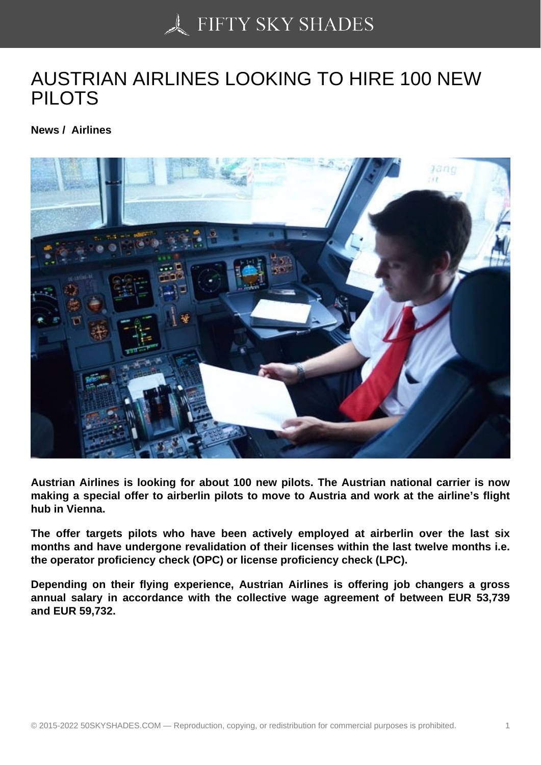## [AUSTRIAN AIRLINES](https://50skyshades.com) LOOKING TO HIRE 100 NEW PILOTS

News / Airlines

Austrian Airlines is looking for about 100 new pilots. The Austrian national carrier is now making a special offer to airberlin pilots to move to Austria and work at the airline's flight hub in Vienna.

The offer targets pilots who have been actively employed at airberlin over the last six months and have undergone revalidation of their licenses within the last twelve months i.e. the operator proficiency check (OPC) or license proficiency check (LPC).

Depending on their flying experience, Austrian Airlines is offering job changers a gross annual salary in accordance with the collective wage agreement of between EUR 53,739 and EUR 59,732.